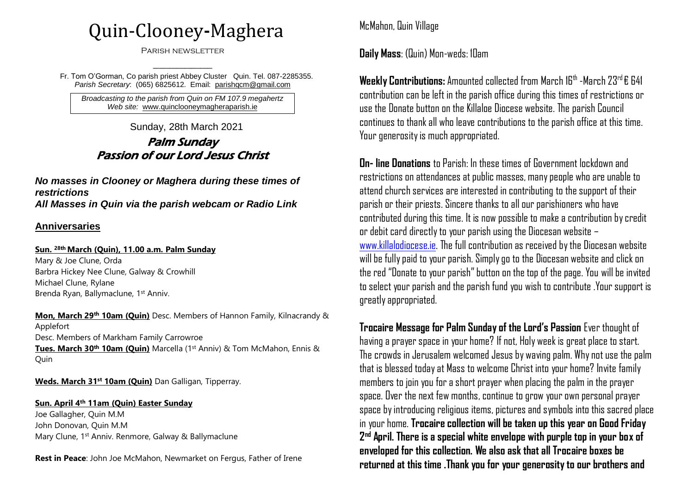# Quin-Clooney**-**Maghera

Parish newsletter

---------------------------------------- Fr. Tom O'Gorman, Co parish priest Abbey Cluster Quin. Tel. 087-2285355. *Parish Secretary*: (065) 6825612. Email: parishqcm@gmail.com

*Broadcasting to the parish from Quin on FM 107.9 megahertz Web site:* [www.quinclooneymagheraparish.ie](http://www.quinclooneymagheraparish.ie/)

Sunday, 28th March 2021

## Palm Sunday Passion of our Lord Jesus Christ

*No masses in Clooney or Maghera during these times of restrictions All Masses in Quin via the parish webcam or Radio Link*

#### **Anniversaries**

#### **Sun. 28th March (Quin), 11.00 a.m. Palm Sunday**

Mary & Joe Clune, Orda Barbra Hickey Nee Clune, Galway & Crowhill Michael Clune, Rylane Brenda Ryan, Ballymaclune, 1st Anniv.

**Mon, March 29th 10am (Quin)** Desc. Members of Hannon Family, Kilnacrandy & Applefort Desc. Members of Markham Family Carrowroe **Tues. March 30th 10am (Quin)** Marcella (1st Anniv) & Tom McMahon, Ennis & **Ouin** 

**Weds. March 31st 10am (Quin)** Dan Galligan, Tipperray.

#### **Sun. April 4th 11am (Quin) Easter Sunday**

Joe Gallagher, Quin M.M John Donovan, Quin M.M Mary Clune, 1st Anniv. Renmore, Galway & Ballymaclune

**Rest in Peace**: John Joe McMahon, Newmarket on Fergus, Father of Irene

McMahon, Quin Village

**Daily Mass**: (Quin) Mon-weds: 10am

**Weekly Contributions:** Amounted collected from March 16<sup>th</sup> -March 23<sup>rd</sup> € 641 contribution can be left in the parish office during this times of restrictions or use the Donate button on the Killaloe Diocese website. The parish Council continues to thank all who leave contributions to the parish office at this time. Your generosity is much appropriated.

**On- line Donations** to Parish: In these times of Government lockdown and restrictions on attendances at public masses, many people who are unable to attend church services are interested in contributing to the support of their parish or their priests. Sincere thanks to all our parishioners who have contributed during this time. It is now possible to make a contribution by credit or debit card directly to your parish using the Diocesan website – [www.killalodiocese.ie.](http://www.killalodiocese.ie/) The full contribution as received by the Diocesan website will be fully paid to your parish. Simply go to the Diocesan website and click on the red "Donate to your parish" button on the top of the page. You will be invited to select your parish and the parish fund you wish to contribute .Your support is greatly appropriated.

**Trocaire Message for Palm Sunday of the Lord's Passion** Ever thought of having a prayer space in your home? If not, Holy week is great place to start. The crowds in Jerusalem welcomed Jesus by waving palm. Why not use the palm that is blessed today at Mass to welcome Christ into your home? Invite family members to join you for a short prayer when placing the palm in the prayer space. Over the next few months, continue to grow your own personal prayer space by introducing religious items, pictures and symbols into this sacred place in your home. **Trocaire collection will be taken up this year on Good Friday 2 nd April. There is a special white envelope with purple top in your box of enveloped for this collection. We also ask that all Trocaire boxes be returned at this time .Thank you for your generosity to our brothers and**